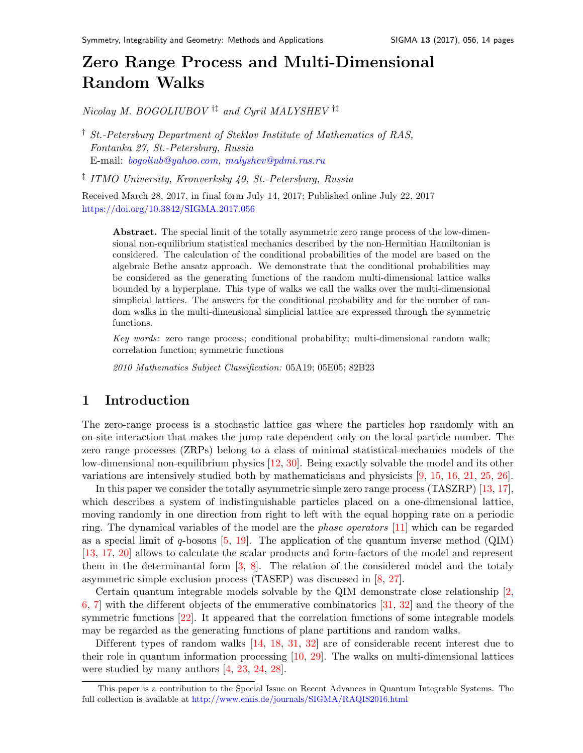# Zero Range Process and Multi-Dimensional Random Walk[s](#page-0-0)

Nicolay M. BOGOLIUBOV  $\dagger$ <sup>†</sup> and Cyril MALYSHEV  $\dagger$ <sup>†</sup>

† St.-Petersburg Department of Steklov Institute of Mathematics of RAS, Fontanka 27, St.-Petersburg, Russia E-mail: [bogoliub@yahoo.com,](mailto:bogoliub@yahoo.com) [malyshev@pdmi.ras.ru](mailto:malyshev@pdmi.ras.ru)

‡ ITMO University, Kronverksky 49, St.-Petersburg, Russia

Received March 28, 2017, in final form July 14, 2017; Published online July 22, 2017 <https://doi.org/10.3842/SIGMA.2017.056>

Abstract. The special limit of the totally asymmetric zero range process of the low-dimensional non-equilibrium statistical mechanics described by the non-Hermitian Hamiltonian is considered. The calculation of the conditional probabilities of the model are based on the algebraic Bethe ansatz approach. We demonstrate that the conditional probabilities may be considered as the generating functions of the random multi-dimensional lattice walks bounded by a hyperplane. This type of walks we call the walks over the multi-dimensional simplicial lattices. The answers for the conditional probability and for the number of random walks in the multi-dimensional simplicial lattice are expressed through the symmetric functions.

Key words: zero range process; conditional probability; multi-dimensional random walk; correlation function; symmetric functions

2010 Mathematics Subject Classification: 05A19; 05E05; 82B23

### 1 Introduction

The zero-range process is a stochastic lattice gas where the particles hop randomly with an on-site interaction that makes the jump rate dependent only on the local particle number. The zero range processes (ZRPs) belong to a class of minimal statistical-mechanics models of the low-dimensional non-equilibrium physics [\[12,](#page-12-0) [30\]](#page-13-0). Being exactly solvable the model and its other variations are intensively studied both by mathematicians and physicists [\[9,](#page-12-1) [15,](#page-12-2) [16,](#page-13-1) [21,](#page-13-2) [25,](#page-13-3) [26\]](#page-13-4).

In this paper we consider the totally asymmetric simple zero range process (TASZRP) [\[13,](#page-12-3) [17\]](#page-13-5), which describes a system of indistinguishable particles placed on a one-dimensional lattice, moving randomly in one direction from right to left with the equal hopping rate on a periodic ring. The dynamical variables of the model are the phase operators [\[11\]](#page-12-4) which can be regarded as a special limit of q-bosons  $[5, 19]$  $[5, 19]$ . The application of the quantum inverse method (QIM) [\[13,](#page-12-3) [17,](#page-13-5) [20\]](#page-13-7) allows to calculate the scalar products and form-factors of the model and represent them in the determinantal form [\[3,](#page-12-6) [8\]](#page-12-7). The relation of the considered model and the totaly asymmetric simple exclusion process (TASEP) was discussed in [\[8,](#page-12-7) [27\]](#page-13-8).

Certain quantum integrable models solvable by the QIM demonstrate close relationship [\[2,](#page-12-8) [6,](#page-12-9) 7 with the different objects of the enumerative combinatorics  $[31, 32]$  $[31, 32]$  and the theory of the symmetric functions [\[22\]](#page-13-11). It appeared that the correlation functions of some integrable models may be regarded as the generating functions of plane partitions and random walks.

Different types of random walks [\[14,](#page-12-11) [18,](#page-13-12) [31,](#page-13-9) [32\]](#page-13-10) are of considerable recent interest due to their role in quantum information processing [\[10,](#page-12-12) [29\]](#page-13-13). The walks on multi-dimensional lattices were studied by many authors [\[4,](#page-12-13) [23,](#page-13-14) [24,](#page-13-15) [28\]](#page-13-16).

<span id="page-0-0"></span>This paper is a contribution to the Special Issue on Recent Advances in Quantum Integrable Systems. The full collection is available at <http://www.emis.de/journals/SIGMA/RAQIS2016.html>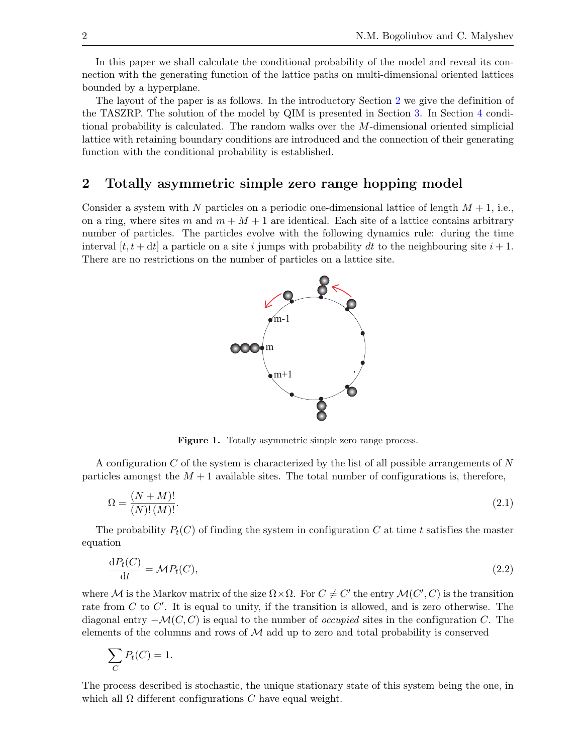In this paper we shall calculate the conditional probability of the model and reveal its connection with the generating function of the lattice paths on multi-dimensional oriented lattices bounded by a hyperplane.

The layout of the paper is as follows. In the introductory Section [2](#page-1-0) we give the definition of the TASZRP. The solution of the model by QIM is presented in Section [3.](#page-4-0) In Section [4](#page-6-0) conditional probability is calculated. The random walks over the M-dimensional oriented simplicial lattice with retaining boundary conditions are introduced and the connection of their generating function with the conditional probability is established.

#### <span id="page-1-0"></span>2 Totally asymmetric simple zero range hopping model

Consider a system with N particles on a periodic one-dimensional lattice of length  $M + 1$ , i.e., on a ring, where sites m and  $m + M + 1$  are identical. Each site of a lattice contains arbitrary number of particles. The particles evolve with the following dynamics rule: during the time interval  $[t, t + dt]$  a particle on a site i jumps with probability dt to the neighbouring site  $i + 1$ . There are no restrictions on the number of particles on a lattice site.



<span id="page-1-2"></span><span id="page-1-1"></span>Figure 1. Totally asymmetric simple zero range process.

A configuration C of the system is characterized by the list of all possible arrangements of N particles amongst the  $M + 1$  available sites. The total number of configurations is, therefore,

$$
\Omega = \frac{(N+M)!}{(N)!(M)!}.
$$
\n(2.1)

The probability  $P_t(C)$  of finding the system in configuration C at time t satisfies the master equation

$$
\frac{\mathrm{d}P_t(C)}{\mathrm{d}t} = \mathcal{M}P_t(C),\tag{2.2}
$$

where M is the Markov matrix of the size  $\Omega \times \Omega$ . For  $C \neq C'$  the entry  $\mathcal{M}(C', C)$  is the transition rate from  $C$  to  $C'$ . It is equal to unity, if the transition is allowed, and is zero otherwise. The diagonal entry  $-\mathcal{M}(C, C)$  is equal to the number of *occupied* sites in the configuration C. The elements of the columns and rows of  $\mathcal M$  add up to zero and total probability is conserved

$$
\sum_C P_t(C) = 1.
$$

The process described is stochastic, the unique stationary state of this system being the one, in which all  $\Omega$  different configurations C have equal weight.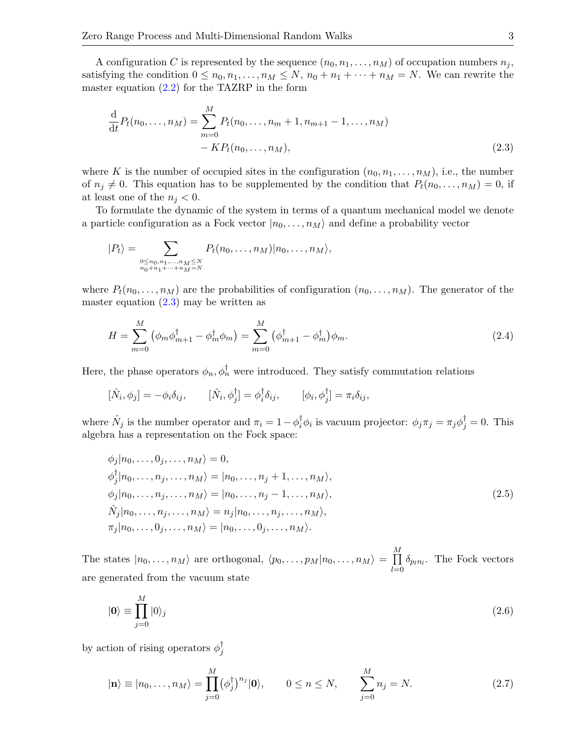A configuration C is represented by the sequence  $(n_0, n_1, \ldots, n_M)$  of occupation numbers  $n_j$ , satisfying the condition  $0 \leq n_0, n_1, \ldots, n_M \leq N$ ,  $n_0 + n_1 + \cdots + n_M = N$ . We can rewrite the master equation  $(2.2)$  for the TAZRP in the form

<span id="page-2-0"></span>
$$
\frac{\mathrm{d}}{\mathrm{d}t}P_t(n_0,\ldots,n_M) = \sum_{m=0}^{M} P_t(n_0,\ldots,n_m+1,n_{m+1}-1,\ldots,n_M) - KP_t(n_0,\ldots,n_M),
$$
\n(2.3)

where K is the number of occupied sites in the configuration  $(n_0, n_1, \ldots, n_M)$ , i.e., the number of  $n_j \neq 0$ . This equation has to be supplemented by the condition that  $P_t(n_0, \ldots, n_M) = 0$ , if at least one of the  $n_j < 0$ .

To formulate the dynamic of the system in terms of a quantum mechanical model we denote a particle configuration as a Fock vector  $|n_0, \ldots, n_M\rangle$  and define a probability vector

$$
|P_t\rangle = \sum_{\substack{0 \le n_0, n_1, \dots, n_M \le N \\ n_0 + n_1 + \dots + n_M = N}} P_t(n_0, \dots, n_M) |n_0, \dots, n_M\rangle,
$$

where  $P_t(n_0, \ldots, n_M)$  are the probabilities of configuration  $(n_0, \ldots, n_M)$ . The generator of the master equation  $(2.3)$  may be written as

<span id="page-2-1"></span>
$$
H = \sum_{m=0}^{M} (\phi_m \phi_{m+1}^{\dagger} - \phi_m^{\dagger} \phi_m) = \sum_{m=0}^{M} (\phi_{m+1}^{\dagger} - \phi_m^{\dagger}) \phi_m.
$$
 (2.4)

Here, the phase operators  $\phi_n, \phi_n^{\dagger}$  were introduced. They satisfy commutation relations

$$
[\hat{N}_i, \phi_j] = -\phi_i \delta_{ij}, \qquad [\hat{N}_i, \phi_j^{\dagger}] = \phi_i^{\dagger} \delta_{ij}, \qquad [\phi_i, \phi_j^{\dagger}] = \pi_i \delta_{ij},
$$

where  $\hat{N}_j$  is the number operator and  $\pi_i = 1 - \phi_i^{\dagger}$  $i^{\dagger}_{i} \phi_{i}$  is vacuum projector:  $\phi_{j} \pi_{j} = \pi_{j} \phi_{j}^{\dagger} = 0$ . This algebra has a representation on the Fock space:

<span id="page-2-2"></span>
$$
\phi_j|n_0,\ldots,0_j,\ldots,n_M\rangle = 0,
$$
  
\n
$$
\phi_j^{\dagger}|n_0,\ldots,n_j,\ldots,n_M\rangle = |n_0,\ldots,n_j+1,\ldots,n_M\rangle,
$$
  
\n
$$
\phi_j|n_0,\ldots,n_j,\ldots,n_M\rangle = |n_0,\ldots,n_j-1,\ldots,n_M\rangle,
$$
  
\n
$$
\hat{N}_j|n_0,\ldots,n_j,\ldots,n_M\rangle = n_j|n_0,\ldots,n_j,\ldots,n_M\rangle,
$$
  
\n
$$
\pi_j|n_0,\ldots,0_j,\ldots,n_M\rangle = |n_0,\ldots,0_j,\ldots,n_M\rangle.
$$
\n(2.5)

The states  $|n_0, \ldots, n_M\rangle$  are orthogonal,  $\langle p_0, \ldots, p_M|n_0, \ldots, n_M\rangle = \prod^M$  $\prod_{l=0} \delta_{p_l n_l}$ . The Fock vectors are generated from the vacuum state

<span id="page-2-3"></span>
$$
|\mathbf{0}\rangle \equiv \prod_{j=0}^{M} |0\rangle_j \tag{2.6}
$$

by action of rising operators  $\phi_i^{\dagger}$ j

<span id="page-2-4"></span>
$$
|\mathbf{n}\rangle \equiv |n_0,\dots,n_M\rangle = \prod_{j=0}^M (\phi_j^\dagger)^{n_j} |\mathbf{0}\rangle, \qquad 0 \le n \le N, \qquad \sum_{j=0}^M n_j = N. \tag{2.7}
$$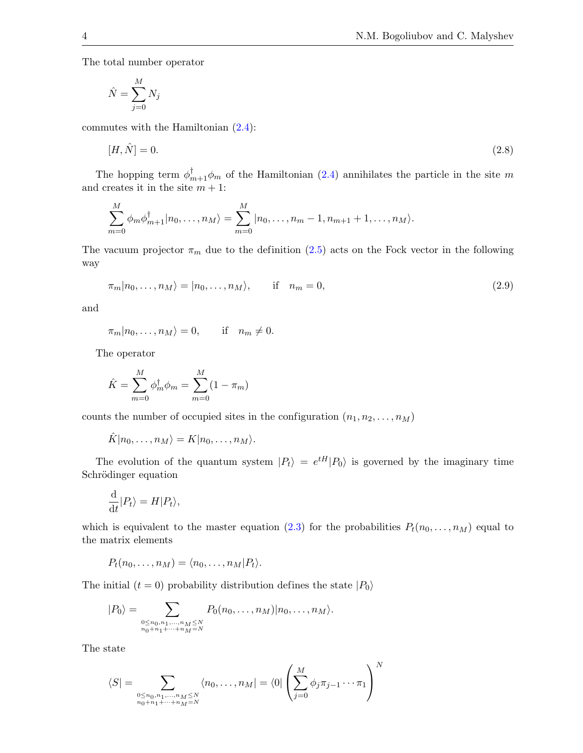The total number operator

$$
\hat{N} = \sum_{j=0}^{M} N_j
$$

commutes with the Hamiltonian [\(2.4\)](#page-2-1):

<span id="page-3-1"></span>
$$
[H, \hat{N}] = 0. \tag{2.8}
$$

The hopping term  $\phi_{m+1}^{\dagger} \phi_m$  of the Hamiltonian [\(2.4\)](#page-2-1) annihilates the particle in the site m and creates it in the site  $m + 1$ :

$$
\sum_{m=0}^{M} \phi_m \phi_{m+1}^{\dagger} |n_0, \dots, n_M \rangle = \sum_{m=0}^{M} |n_0, \dots, n_m - 1, n_{m+1} + 1, \dots, n_M \rangle.
$$

The vacuum projector  $\pi_m$  due to the definition [\(2.5\)](#page-2-2) acts on the Fock vector in the following way

<span id="page-3-0"></span>
$$
\pi_m|n_0,\ldots,n_M\rangle=|n_0,\ldots,n_M\rangle,\qquad\text{if}\quad n_m=0,\tag{2.9}
$$

and

$$
\pi_m|n_0,\ldots,n_M\rangle=0, \quad \text{if} \quad n_m\neq 0.
$$

The operator

$$
\hat{K} = \sum_{m=0}^{M} \phi_m^{\dagger} \phi_m = \sum_{m=0}^{M} (1 - \pi_m)
$$

counts the number of occupied sites in the configuration  $(n_1, n_2, \ldots, n_M)$ 

$$
\hat{K}|n_0,\ldots,n_M\rangle=K|n_0,\ldots,n_M\rangle.
$$

The evolution of the quantum system  $|P_t\rangle = e^{tH}|P_0\rangle$  is governed by the imaginary time Schrödinger equation

$$
\frac{\mathrm{d}}{\mathrm{d}t}|P_t\rangle = H|P_t\rangle,
$$

which is equivalent to the master equation [\(2.3\)](#page-2-0) for the probabilities  $P_t(n_0, \ldots, n_M)$  equal to the matrix elements

$$
P_t(n_0,\ldots,n_M)=\langle n_0,\ldots,n_M|P_t\rangle.
$$

The initial  $(t = 0)$  probability distribution defines the state  $|P_0\rangle$ 

$$
|P_0\rangle = \sum_{\substack{0 \le n_0, n_1, \dots, n_M \le N \\ n_0 + n_1 + \dots + n_M = N}} P_0(n_0, \dots, n_M) |n_0, \dots, n_M\rangle.
$$

The state

$$
\langle S| = \sum_{\substack{0 \le n_0, n_1, \dots, n_M \le N \\ n_0 + n_1 + \dots + n_M = N}} \langle n_0, \dots, n_M | = \langle 0 | \left( \sum_{j=0}^M \phi_j \pi_{j-1} \dots \pi_1 \right)^N \right)
$$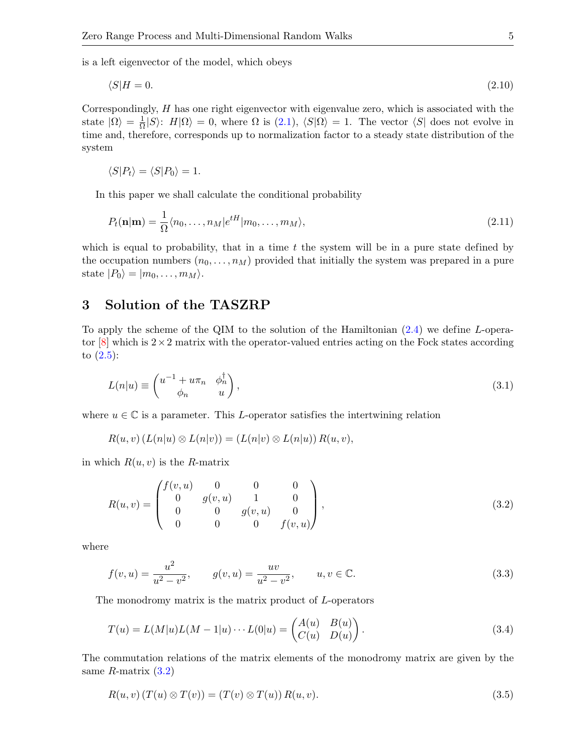is a left eigenvector of the model, which obeys

<span id="page-4-6"></span>
$$
\langle S|H=0.\tag{2.10}
$$

Correspondingly,  $H$  has one right eigenvector with eigenvalue zero, which is associated with the state  $|\Omega\rangle = \frac{1}{\Omega}$  $\frac{1}{\Omega}|S\rangle$ :  $H|\Omega\rangle = 0$ , where  $\Omega$  is  $(2.1)$ ,  $\langle S|\Omega\rangle = 1$ . The vector  $\langle S|\rangle$  does not evolve in time and, therefore, corresponds up to normalization factor to a steady state distribution of the system

$$
\langle S|P_t\rangle = \langle S|P_0\rangle = 1.
$$

In this paper we shall calculate the conditional probability

<span id="page-4-7"></span>
$$
P_t(\mathbf{n}|\mathbf{m}) = \frac{1}{\Omega} \langle n_0, \dots, n_M | e^{tH} | m_0, \dots, m_M \rangle, \tag{2.11}
$$

which is equal to probability, that in a time  $t$  the system will be in a pure state defined by the occupation numbers  $(n_0, \ldots, n_M)$  provided that initially the system was prepared in a pure state  $|P_0\rangle = |m_0, \ldots, m_M\rangle$ .

# <span id="page-4-0"></span>3 Solution of the TASZRP

To apply the scheme of the QIM to the solution of the Hamiltonian [\(2.4\)](#page-2-1) we define L-operator  $[8]$  which is  $2 \times 2$  matrix with the operator-valued entries acting on the Fock states according to  $(2.5)$ :

<span id="page-4-3"></span>
$$
L(n|u) \equiv \begin{pmatrix} u^{-1} + u\pi_n & \phi_n^{\dagger} \\ \phi_n & u \end{pmatrix},
$$
\n(3.1)

where  $u \in \mathbb{C}$  is a parameter. This L-operator satisfies the intertwining relation

$$
R(u, v) (L(n|u) \otimes L(n|v)) = (L(n|v) \otimes L(n|u)) R(u, v),
$$

in which  $R(u, v)$  is the R-matrix

<span id="page-4-1"></span>
$$
R(u,v) = \begin{pmatrix} f(v,u) & 0 & 0 & 0 \\ 0 & g(v,u) & 1 & 0 \\ 0 & 0 & g(v,u) & 0 \\ 0 & 0 & 0 & f(v,u) \end{pmatrix},
$$
\n(3.2)

where

<span id="page-4-5"></span>
$$
f(v, u) = \frac{u^2}{u^2 - v^2}, \qquad g(v, u) = \frac{uv}{u^2 - v^2}, \qquad u, v \in \mathbb{C}.
$$
 (3.3)

The monodromy matrix is the matrix product of L-operators

<span id="page-4-4"></span>
$$
T(u) = L(M|u)L(M-1|u)\cdots L(0|u) = \begin{pmatrix} A(u) & B(u) \\ C(u) & D(u) \end{pmatrix}.
$$
 (3.4)

The commutation relations of the matrix elements of the monodromy matrix are given by the same  $R$ -matrix  $(3.2)$ 

<span id="page-4-2"></span>
$$
R(u, v) (T(u) \otimes T(v)) = (T(v) \otimes T(u)) R(u, v).
$$
\n
$$
(3.5)
$$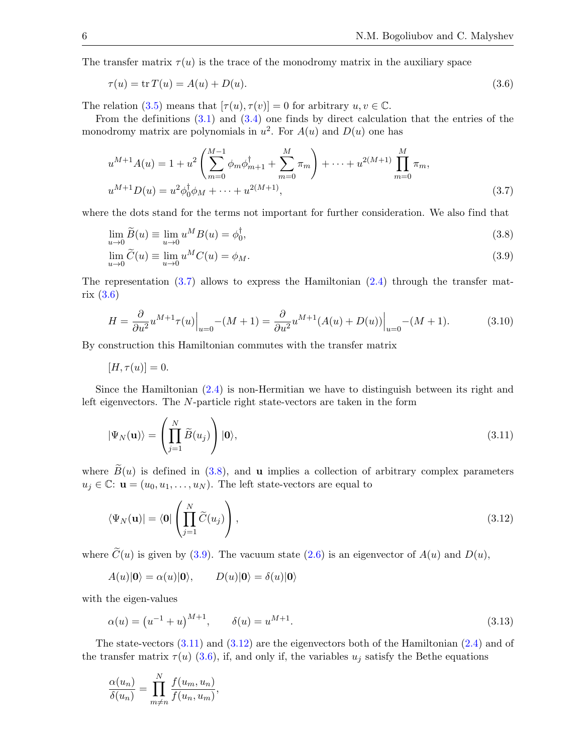The transfer matrix  $\tau(u)$  is the trace of the monodromy matrix in the auxiliary space

<span id="page-5-1"></span>
$$
\tau(u) = \text{tr}\,T(u) = A(u) + D(u). \tag{3.6}
$$

The relation [\(3.5\)](#page-4-2) means that  $[\tau(u), \tau(v)] = 0$  for arbitrary  $u, v \in \mathbb{C}$ .

From the definitions  $(3.1)$  and  $(3.4)$  one finds by direct calculation that the entries of the monodromy matrix are polynomials in  $u^2$ . For  $A(u)$  and  $D(u)$  one has

<span id="page-5-0"></span>
$$
u^{M+1}A(u) = 1 + u^2 \left(\sum_{m=0}^{M-1} \phi_m \phi_{m+1}^\dagger + \sum_{m=0}^M \pi_m\right) + \dots + u^{2(M+1)} \prod_{m=0}^M \pi_m,
$$
  

$$
u^{M+1}D(u) = u^2 \phi_0^\dagger \phi_M + \dots + u^{2(M+1)},
$$
\n(3.7)

where the dots stand for the terms not important for further consideration. We also find that

<span id="page-5-2"></span>
$$
\lim_{u \to 0} \widetilde{B}(u) \equiv \lim_{u \to 0} u^M B(u) = \phi_0^{\dagger}, \tag{3.8}
$$

<span id="page-5-3"></span>
$$
\lim_{u \to 0} \widetilde{C}(u) \equiv \lim_{u \to 0} u^M C(u) = \phi_M.
$$
\n(3.9)

The representation  $(3.7)$  allows to express the Hamiltonian  $(2.4)$  through the transfer matrix [\(3.6\)](#page-5-1)

<span id="page-5-6"></span>
$$
H = \frac{\partial}{\partial u^2} u^{M+1} \tau(u) \Big|_{u=0} - (M+1) = \frac{\partial}{\partial u^2} u^{M+1} (A(u) + D(u)) \Big|_{u=0} - (M+1). \tag{3.10}
$$

By construction this Hamiltonian commutes with the transfer matrix

 $[H, \tau(u)] = 0.$ 

Since the Hamiltonian [\(2.4\)](#page-2-1) is non-Hermitian we have to distinguish between its right and left eigenvectors. The N-particle right state-vectors are taken in the form

$$
|\Psi_N(\mathbf{u})\rangle = \left(\prod_{j=1}^N \widetilde{B}(u_j)\right)|\mathbf{0}\rangle,\tag{3.11}
$$

where  $\widetilde{B}(u)$  is defined in [\(3.8\)](#page-5-2), and **u** implies a collection of arbitrary complex parameters  $u_j \in \mathbb{C}: \mathbf{u} = (u_0, u_1, \dots, u_N)$ . The left state-vectors are equal to

$$
\langle \Psi_N(\mathbf{u}) | = \langle \mathbf{0} | \left( \prod_{j=1}^N \widetilde{C}(u_j) \right), \tag{3.12}
$$

where  $\tilde{C}(u)$  is given by [\(3.9\)](#page-5-3). The vacuum state [\(2.6\)](#page-2-3) is an eigenvector of  $A(u)$  and  $D(u)$ ,

$$
A(u)|\mathbf{0}\rangle = \alpha(u)|\mathbf{0}\rangle, \qquad D(u)|\mathbf{0}\rangle = \delta(u)|\mathbf{0}\rangle
$$

<span id="page-5-7"></span><span id="page-5-5"></span><span id="page-5-4"></span>,

with the eigen-values

$$
\alpha(u) = (u^{-1} + u)^{M+1}, \qquad \delta(u) = u^{M+1}.
$$
\n(3.13)

The state-vectors  $(3.11)$  and  $(3.12)$  are the eigenvectors both of the Hamiltonian  $(2.4)$  and of the transfer matrix  $\tau(u)$  [\(3.6\)](#page-5-1), if, and only if, the variables  $u_j$  satisfy the Bethe equations

$$
\frac{\alpha(u_n)}{\delta(u_n)} = \prod_{m \neq n}^{N} \frac{f(u_m, u_n)}{f(u_n, u_m)}
$$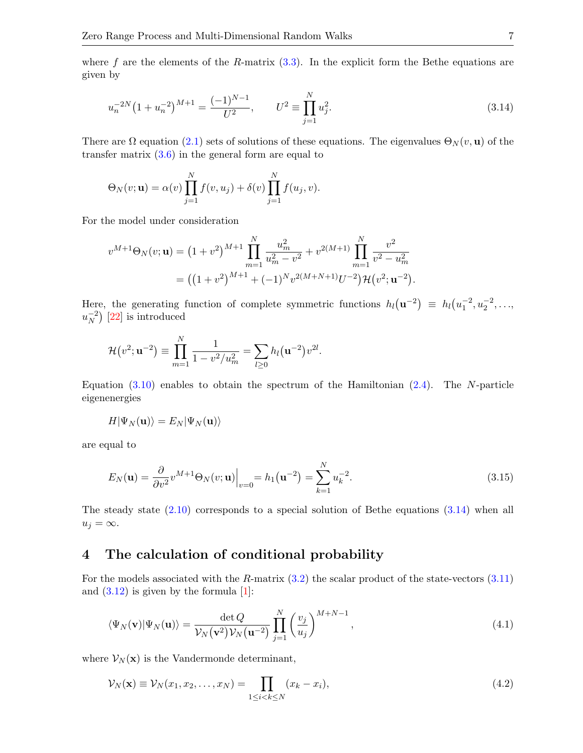where f are the elements of the R-matrix  $(3.3)$ . In the explicit form the Bethe equations are given by

<span id="page-6-1"></span>
$$
u_n^{-2N} \left(1 + u_n^{-2}\right)^{M+1} = \frac{(-1)^{N-1}}{U^2}, \qquad U^2 \equiv \prod_{j=1}^N u_j^2. \tag{3.14}
$$

There are  $\Omega$  equation [\(2.1\)](#page-1-2) sets of solutions of these equations. The eigenvalues  $\Theta_N(v, \mathbf{u})$  of the transfer matrix  $(3.6)$  in the general form are equal to

$$
\Theta_N(v; \mathbf{u}) = \alpha(v) \prod_{j=1}^N f(v, u_j) + \delta(v) \prod_{j=1}^N f(u_j, v).
$$

For the model under consideration

$$
v^{M+1}\Theta_N(v; \mathbf{u}) = (1 + v^2)^{M+1} \prod_{m=1}^N \frac{u_m^2}{u_m^2 - v^2} + v^{2(M+1)} \prod_{m=1}^N \frac{v^2}{v^2 - u_m^2}
$$
  
= 
$$
((1 + v^2)^{M+1} + (-1)^N v^{2(M+N+1)} U^{-2}) \mathcal{H}(v^2; \mathbf{u}^{-2}).
$$

Here, the generating function of complete symmetric functions  $h_l(\mathbf{u}^{-2}) \equiv h_l(u_1^{-2}, u_2^{-2}, \ldots, u_n)$  $u_N^{-2}$  $\binom{-2}{N}$  [\[22\]](#page-13-11) is introduced

$$
\mathcal{H}(v^2; \mathbf{u}^{-2}) \equiv \prod_{m=1}^N \frac{1}{1 - v^2/u_m^2} = \sum_{l \ge 0} h_l(\mathbf{u}^{-2})v^{2l}.
$$

Equation  $(3.10)$  enables to obtain the spectrum of the Hamiltonian  $(2.4)$ . The N-particle eigenenergies

$$
H|\Psi_N({\bf u})\rangle=E_N|\Psi_N({\bf u})\rangle
$$

are equal to

<span id="page-6-4"></span>
$$
E_N(\mathbf{u}) = \frac{\partial}{\partial v^2} v^{M+1} \Theta_N(v; \mathbf{u}) \Big|_{v=0} = h_1(\mathbf{u}^{-2}) = \sum_{k=1}^N u_k^{-2}.
$$
 (3.15)

The steady state  $(2.10)$  corresponds to a special solution of Bethe equations  $(3.14)$  when all  $u_j = \infty$ .

# <span id="page-6-0"></span>4 The calculation of conditional probability

For the models associated with the R-matrix  $(3.2)$  the scalar product of the state-vectors  $(3.11)$ and  $(3.12)$  is given by the formula  $[1]$ :

<span id="page-6-2"></span>
$$
\langle \Psi_N(\mathbf{v}) | \Psi_N(\mathbf{u}) \rangle = \frac{\det Q}{\mathcal{V}_N(\mathbf{v}^2) \mathcal{V}_N(\mathbf{u}^{-2})} \prod_{j=1}^N \left( \frac{v_j}{u_j} \right)^{M+N-1}, \tag{4.1}
$$

where  $\mathcal{V}_N(\mathbf{x})$  is the Vandermonde determinant,

<span id="page-6-3"></span>
$$
\mathcal{V}_N(\mathbf{x}) \equiv \mathcal{V}_N(x_1, x_2, \dots, x_N) = \prod_{1 \le i < k \le N} (x_k - x_i),\tag{4.2}
$$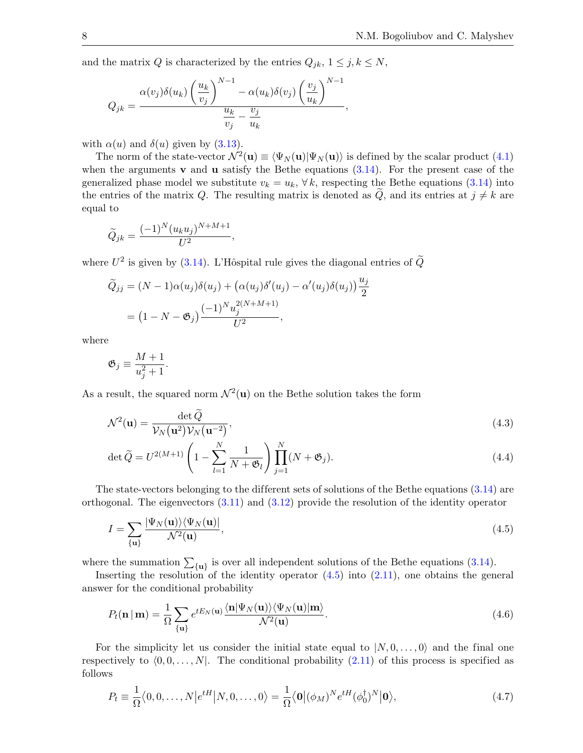and the matrix Q is characterized by the entries  $Q_{jk}$ ,  $1 \leq j, k \leq N$ ,

$$
Q_{jk} = \frac{\alpha(v_j)\delta(u_k)\left(\frac{u_k}{v_j}\right)^{N-1} - \alpha(u_k)\delta(v_j)\left(\frac{v_j}{u_k}\right)^{N-1}}{\frac{u_k}{v_j} - \frac{v_j}{u_k}},
$$

with  $\alpha(u)$  and  $\delta(u)$  given by [\(3.13\)](#page-5-7).

The norm of the state-vector  $\mathcal{N}^2(\mathbf{u}) \equiv \langle \Psi_N(\mathbf{u}) | \Psi_N(\mathbf{u}) \rangle$  is defined by the scalar product [\(4.1\)](#page-6-2) when the arguments **v** and **u** satisfy the Bethe equations  $(3.14)$ . For the present case of the generalized phase model we substitute  $v_k = u_k$ ,  $\forall k$ , respecting the Bethe equations [\(3.14\)](#page-6-1) into the entries of the matrix Q. The resulting matrix is denoted as Q, and its entries at  $j \neq k$  are equal to

$$
\widetilde{Q}_{jk} = \frac{(-1)^N (u_k u_j)^{N+M+1}}{U^2},
$$

where  $U^2$  is given by [\(3.14\)](#page-6-1). L'Hôspital rule gives the diagonal entries of  $\tilde{Q}$ 

$$
\widetilde{Q}_{jj} = (N-1)\alpha(u_j)\delta(u_j) + (\alpha(u_j)\delta'(u_j) - \alpha'(u_j)\delta(u_j))\frac{u_j}{2}
$$

$$
= (1 - N - \mathfrak{G}_j) \frac{(-1)^N u_j^{2(N+M+1)}}{U^2},
$$

where

$$
\mathfrak{G}_j \equiv \frac{M+1}{u_j^2+1}.
$$

As a result, the squared norm  $\mathcal{N}^2(\mathbf{u})$  on the Bethe solution takes the form

$$
\mathcal{N}^2(\mathbf{u}) = \frac{\det \tilde{Q}}{\mathcal{V}_N(\mathbf{u}^2)\mathcal{V}_N(\mathbf{u}^{-2})},\tag{4.3}
$$

<span id="page-7-3"></span><span id="page-7-2"></span>
$$
\det \widetilde{Q} = U^{2(M+1)} \left( 1 - \sum_{l=1}^{N} \frac{1}{N + \mathfrak{G}_l} \right) \prod_{j=1}^{N} (N + \mathfrak{G}_j).
$$
\n(4.4)

The state-vectors belonging to the different sets of solutions of the Bethe equations  $(3.14)$  are orthogonal. The eigenvectors  $(3.11)$  and  $(3.12)$  provide the resolution of the identity operator

<span id="page-7-0"></span>
$$
I = \sum_{\{\mathbf{u}\}} \frac{|\Psi_N(\mathbf{u})\rangle \langle \Psi_N(\mathbf{u})|}{\mathcal{N}^2(\mathbf{u})},\tag{4.5}
$$

where the summation  $\sum_{\{u\}}$  is over all independent solutions of the Bethe equations [\(3.14\)](#page-6-1).

Inserting the resolution of the identity operator  $(4.5)$  into  $(2.11)$ , one obtains the general answer for the conditional probability

<span id="page-7-4"></span>
$$
P_t(\mathbf{n} \mid \mathbf{m}) = \frac{1}{\Omega} \sum_{\{\mathbf{u}\}} e^{t E_N(\mathbf{u})} \frac{\langle \mathbf{n} | \Psi_N(\mathbf{u}) \rangle \langle \Psi_N(\mathbf{u}) | \mathbf{m} \rangle}{\mathcal{N}^2(\mathbf{u})}.
$$
(4.6)

For the simplicity let us consider the initial state equal to  $|N, 0, \ldots, 0\rangle$  and the final one respectively to  $\langle 0, 0, \ldots, N \rangle$ . The conditional probability [\(2.11\)](#page-4-7) of this process is specified as follows

<span id="page-7-1"></span>
$$
P_t \equiv \frac{1}{\Omega} \langle 0, 0, \dots, N | e^{tH} | N, 0, \dots, 0 \rangle = \frac{1}{\Omega} \langle \mathbf{0} | (\phi_M)^N e^{tH} (\phi_0^{\dagger})^N | \mathbf{0} \rangle, \tag{4.7}
$$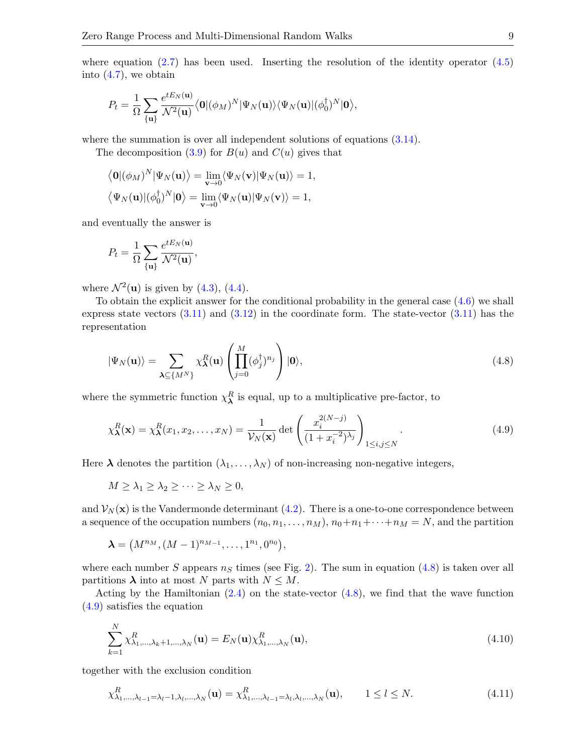$$
P_t = \frac{1}{\Omega} \sum_{\{\mathbf{u}\}} \frac{e^{tE_N(\mathbf{u})}}{\mathcal{N}^2(\mathbf{u})} \langle \mathbf{0} | (\phi_M)^N | \Psi_N(\mathbf{u}) \rangle \langle \Psi_N(\mathbf{u}) | (\phi_0^\dagger)^N | \mathbf{0} \rangle,
$$

where the summation is over all independent solutions of equations  $(3.14)$ .

The decomposition  $(3.9)$  for  $B(u)$  and  $C(u)$  gives that

$$
\langle \mathbf{0} | (\phi_M)^N | \Psi_N(\mathbf{u}) \rangle = \lim_{\mathbf{v} \to 0} \langle \Psi_N(\mathbf{v}) | \Psi_N(\mathbf{u}) \rangle = 1,
$$
  

$$
\langle \Psi_N(\mathbf{u}) | (\phi_0^{\dagger})^N | \mathbf{0} \rangle = \lim_{\mathbf{v} \to 0} \langle \Psi_N(\mathbf{u}) | \Psi_N(\mathbf{v}) \rangle = 1,
$$

and eventually the answer is

$$
P_t = \frac{1}{\Omega} \sum_{\{\mathbf{u}\}} \frac{e^{tE_N(\mathbf{u})}}{\mathcal{N}^2(\mathbf{u})},
$$

where  $\mathcal{N}^2(\mathbf{u})$  is given by [\(4.3\)](#page-7-2), [\(4.4\)](#page-7-3).

To obtain the explicit answer for the conditional probability in the general case [\(4.6\)](#page-7-4) we shall express state vectors  $(3.11)$  and  $(3.12)$  in the coordinate form. The state-vector  $(3.11)$  has the representation

<span id="page-8-0"></span>
$$
|\Psi_N(\mathbf{u})\rangle = \sum_{\mathbf{\lambda} \subseteq \{M^N\}} \chi_\mathbf{\lambda}^R(\mathbf{u}) \left( \prod_{j=0}^M (\phi_j^\dagger)^{n_j} \right) |0\rangle, \tag{4.8}
$$

where the symmetric function  $\chi^R_{\lambda}$  is equal, up to a multiplicative pre-factor, to

<span id="page-8-1"></span>
$$
\chi_{\lambda}^{R}(\mathbf{x}) = \chi_{\lambda}^{R}(x_1, x_2, \dots, x_N) = \frac{1}{\mathcal{V}_N(\mathbf{x})} \det \left( \frac{x_i^{2(N-j)}}{(1 + x_i^{-2})^{\lambda_j}} \right)_{1 \le i, j \le N}.
$$
\n(4.9)

Here  $\lambda$  denotes the partition  $(\lambda_1, \ldots, \lambda_N)$  of non-increasing non-negative integers,

$$
M \geq \lambda_1 \geq \lambda_2 \geq \cdots \geq \lambda_N \geq 0,
$$

and  $\mathcal{V}_N(\mathbf{x})$  is the Vandermonde determinant [\(4.2\)](#page-6-3). There is a one-to-one correspondence between a sequence of the occupation numbers  $(n_0, n_1, \ldots, n_M)$ ,  $n_0+n_1+\cdots+n_M = N$ , and the partition

$$
\lambda = (M^{n_M}, (M-1)^{n_{M-1}}, \ldots, 1^{n_1}, 0^{n_0}),
$$

where each number S appears  $n<sub>S</sub>$  times (see Fig. [2\)](#page-9-0). The sum in equation [\(4.8\)](#page-8-0) is taken over all partitions  $\lambda$  into at most N parts with  $N \leq M$ .

Acting by the Hamiltonian  $(2.4)$  on the state-vector  $(4.8)$ , we find that the wave function [\(4.9\)](#page-8-1) satisfies the equation

<span id="page-8-2"></span>
$$
\sum_{k=1}^{N} \chi^{R}_{\lambda_{1},\dots,\lambda_{k}+1,\dots,\lambda_{N}}(\mathbf{u}) = E_{N}(\mathbf{u}) \chi^{R}_{\lambda_{1},\dots,\lambda_{N}}(\mathbf{u}),
$$
\n(4.10)

together with the exclusion condition

<span id="page-8-3"></span>
$$
\chi^R_{\lambda_1,\dots,\lambda_{l-1}=\lambda_l-1,\lambda_l,\dots,\lambda_N}(\mathbf{u}) = \chi^R_{\lambda_1,\dots,\lambda_{l-1}=\lambda_l,\lambda_l,\dots,\lambda_N}(\mathbf{u}), \qquad 1 \le l \le N. \tag{4.11}
$$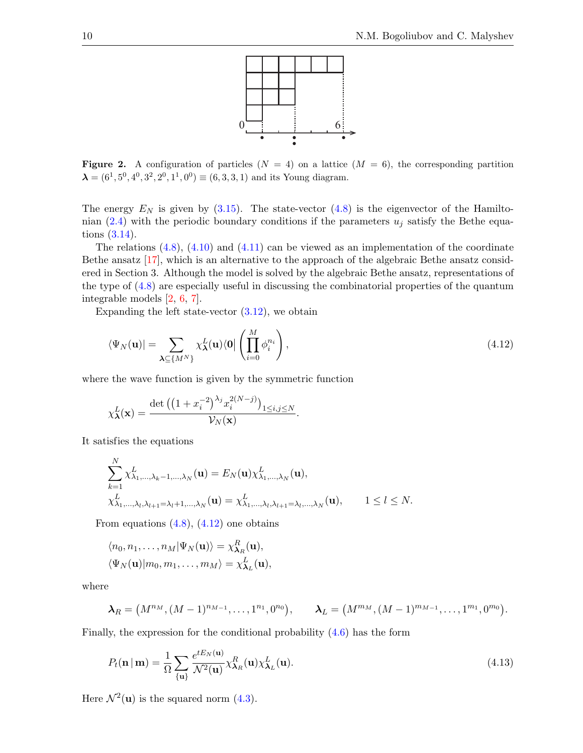

<span id="page-9-0"></span>**Figure 2.** A configuration of particles  $(N = 4)$  on a lattice  $(M = 6)$ , the corresponding partition  $\lambda = (6^1, 5^0, 4^0, 3^2, 2^0, 1^1, 0^0) \equiv (6, 3, 3, 1)$  and its Young diagram.

The energy  $E<sub>N</sub>$  is given by [\(3.15\)](#page-6-4). The state-vector [\(4.8\)](#page-8-0) is the eigenvector of the Hamiltonian  $(2.4)$  with the periodic boundary conditions if the parameters  $u_i$  satisfy the Bethe equations [\(3.14\)](#page-6-1).

The relations  $(4.8)$ ,  $(4.10)$  and  $(4.11)$  can be viewed as an implementation of the coordinate Bethe ansatz [\[17\]](#page-13-5), which is an alternative to the approach of the algebraic Bethe ansatz considered in Section 3. Although the model is solved by the algebraic Bethe ansatz, representations of the type of [\(4.8\)](#page-8-0) are especially useful in discussing the combinatorial properties of the quantum integrable models [\[2,](#page-12-8) [6,](#page-12-9) [7\]](#page-12-10).

Expanding the left state-vector  $(3.12)$ , we obtain

<span id="page-9-1"></span>
$$
\langle \Psi_N(\mathbf{u})| = \sum_{\mathbf{\lambda} \subseteq \{M^N\}} \chi_\mathbf{\lambda}^L(\mathbf{u}) \langle \mathbf{0} | \left( \prod_{i=0}^M \phi_i^{n_i} \right), \tag{4.12}
$$

where the wave function is given by the symmetric function

$$
\chi_{\mathbf{\lambda}}^{L}(\mathbf{x}) = \frac{\det\left(\left(1 + x_i^{-2}\right)^{\lambda_j} x_i^{2(N-j)}\right)_{1 \le i,j \le N}}{\mathcal{V}_N(\mathbf{x})}.
$$

It satisfies the equations

 $\lambda$ 

$$
\sum_{k=1}^{N} \chi^{L}_{\lambda_{1},...,\lambda_{k}-1,...,\lambda_{N}}(\mathbf{u}) = E_{N}(\mathbf{u}) \chi^{L}_{\lambda_{1},...,\lambda_{N}}(\mathbf{u}),
$$
\n
$$
\chi^{L}_{\lambda_{1},...,\lambda_{l},\lambda_{l+1}=\lambda_{l}+1,...,\lambda_{N}}(\mathbf{u}) = \chi^{L}_{\lambda_{1},...,\lambda_{l},\lambda_{l+1}=\lambda_{l},...,\lambda_{N}}(\mathbf{u}), \qquad 1 \leq l \leq N.
$$

From equations  $(4.8)$ ,  $(4.12)$  one obtains

$$
\langle n_0, n_1, \dots, n_M | \Psi_N(\mathbf{u}) \rangle = \chi^R_{\mathbf{\lambda}_R}(\mathbf{u}),
$$
  

$$
\langle \Psi_N(\mathbf{u}) | m_0, m_1, \dots, m_M \rangle = \chi^L_{\mathbf{\lambda}_L}(\mathbf{u}),
$$

where

$$
\lambda_R = (M^{n_M}, (M-1)^{n_{M-1}}, \ldots, 1^{n_1}, 0^{n_0}), \qquad \lambda_L = (M^{m_M}, (M-1)^{m_{M-1}}, \ldots, 1^{m_1}, 0^{m_0}).
$$

Finally, the expression for the conditional probability  $(4.6)$  has the form

<span id="page-9-2"></span>
$$
P_t(\mathbf{n} \mid \mathbf{m}) = \frac{1}{\Omega} \sum_{\{\mathbf{u}\}} \frac{e^{t E_N(\mathbf{u})}}{\mathcal{N}^2(\mathbf{u})} \chi^R_{\lambda_R}(\mathbf{u}) \chi^L_{\lambda_L}(\mathbf{u}).
$$
\n(4.13)

Here  $\mathcal{N}^2(\mathbf{u})$  is the squared norm [\(4.3\)](#page-7-2).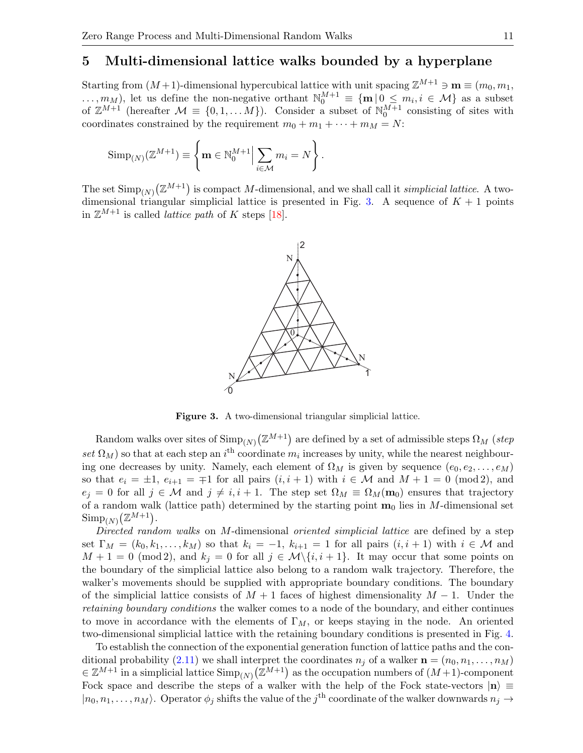### 5 Multi-dimensional lattice walks bounded by a hyperplane

Starting from  $(M+1)$ -dimensional hypercubical lattice with unit spacing  $\mathbb{Z}^{M+1} \ni \mathbf{m} \equiv (m_0, m_1,$  $\ldots, m_M$ , let us define the non-negative orthant  $\mathbb{N}_0^{M+1} \equiv \{m \mid 0 \leq m_i, i \in \mathcal{M}\}\$ as a subset of  $\mathbb{Z}^{M+1}$  (hereafter  $\mathcal{M} \equiv \{0, 1, ..., M\}$ ). Consider a subset of  $\mathbb{N}_0^{M+1}$  consisting of sites with coordinates constrained by the requirement  $m_0 + m_1 + \cdots + m_M = N$ :

$$
\operatorname{Simp}_{(N)}(\mathbb{Z}^{M+1}) \equiv \left\{ \mathbf{m} \in \mathbb{N}_0^{M+1} \Big| \sum_{i \in \mathcal{M}} m_i = N \right\}.
$$

The set  $\text{Simp}_{(N)}(\mathbb{Z}^{M+1})$  is compact M-dimensional, and we shall call it *simplicial lattice*. A two-dimensional triangular simplicial lattice is presented in Fig. [3.](#page-10-0) A sequence of  $K + 1$  points in  $\mathbb{Z}^{M+1}$  is called *lattice path* of K steps [\[18\]](#page-13-12).



<span id="page-10-0"></span>Figure 3. A two-dimensional triangular simplicial lattice.

Random walks over sites of  $\mathrm{Simp}_{(N)}(\mathbb{Z}^{M+1})$  are defined by a set of admissible steps  $\Omega_M$  (step set  $\Omega_M$ ) so that at each step an i<sup>th</sup> coordinate  $m_i$  increases by unity, while the nearest neighbouring one decreases by unity. Namely, each element of  $\Omega_M$  is given by sequence  $(e_0, e_2, \ldots, e_M)$ so that  $e_i = \pm 1$ ,  $e_{i+1} = \mp 1$  for all pairs  $(i, i + 1)$  with  $i \in \mathcal{M}$  and  $M + 1 = 0 \pmod{2}$ , and  $e_j = 0$  for all  $j \in \mathcal{M}$  and  $j \neq i, i + 1$ . The step set  $\Omega_M \equiv \Omega_M(\mathbf{m}_0)$  ensures that trajectory of a random walk (lattice path) determined by the starting point  $\mathbf{m}_0$  lies in M-dimensional set  $\mathrm{Simp}_{(N)}(\mathbb{Z}^{M+1}).$ 

Directed random walks on M-dimensional oriented simplicial lattice are defined by a step set  $\Gamma_M = (k_0, k_1, \ldots, k_M)$  so that  $k_i = -1$ ,  $k_{i+1} = 1$  for all pairs  $(i, i + 1)$  with  $i \in \mathcal{M}$  and  $M + 1 = 0 \pmod{2}$ , and  $k_j = 0$  for all  $j \in \mathcal{M}\setminus\{i, i + 1\}$ . It may occur that some points on the boundary of the simplicial lattice also belong to a random walk trajectory. Therefore, the walker's movements should be supplied with appropriate boundary conditions. The boundary of the simplicial lattice consists of  $M + 1$  faces of highest dimensionality  $M - 1$ . Under the retaining boundary conditions the walker comes to a node of the boundary, and either continues to move in accordance with the elements of  $\Gamma_M$ , or keeps staying in the node. An oriented two-dimensional simplicial lattice with the retaining boundary conditions is presented in Fig. [4.](#page-11-0)

To establish the connection of the exponential generation function of lattice paths and the con-ditional probability [\(2.11\)](#page-4-7) we shall interpret the coordinates  $n_j$  of a walker  $\mathbf{n} = (n_0, n_1, \ldots, n_M)$  $\in \mathbb{Z}^{M+1}$  in a simplicial lattice  $\text{Simp}_{(N)}(\mathbb{Z}^{M+1})$  as the occupation numbers of  $(M+1)$ -component Fock space and describe the steps of a walker with the help of the Fock state-vectors  $|n\rangle \equiv$  $|n_0, n_1, \ldots, n_M\rangle$ . Operator  $\phi_j$  shifts the value of the j<sup>th</sup> coordinate of the walker downwards  $n_j \to$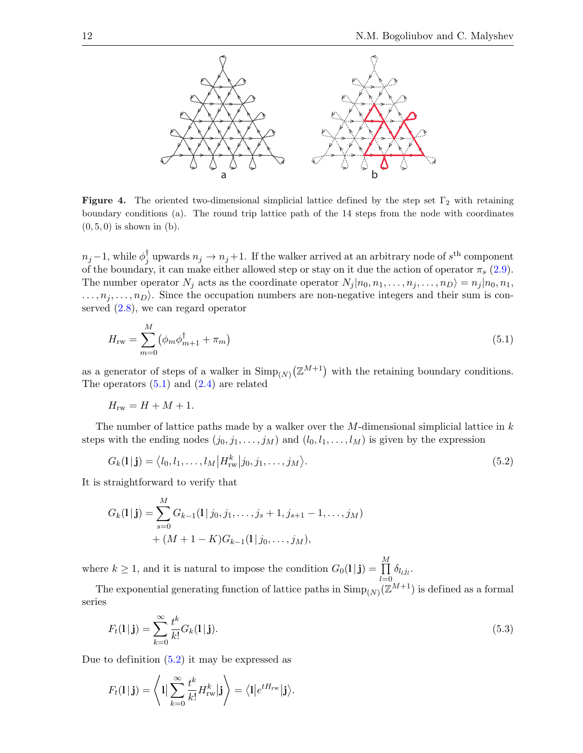

<span id="page-11-0"></span>Figure 4. The oriented two-dimensional simplicial lattice defined by the step set  $\Gamma_2$  with retaining boundary conditions (a). The round trip lattice path of the 14 steps from the node with coordinates  $(0, 5, 0)$  is shown in  $(b)$ .

 $n_j-1$ , while  $\phi^\dagger_j$ <sup>†</sup><sub>j</sub> upwards  $n_j \to n_j+1$ . If the walker arrived at an arbitrary node of  $s^{\text{th}}$  component of the boundary, it can make either allowed step or stay on it due the action of operator  $\pi_s$  [\(2.9\)](#page-3-0). The number operator  $N_j$  acts as the coordinate operator  $N_j | n_0, n_1, \ldots, n_j, \ldots, n_D \rangle = n_j | n_0, n_1, \ldots, n_D \rangle$  $\ldots, n_j, \ldots, n_D$ . Since the occupation numbers are non-negative integers and their sum is conserved [\(2.8\)](#page-3-1), we can regard operator

<span id="page-11-1"></span>
$$
H_{\rm rw} = \sum_{m=0}^{M} (\phi_m \phi_{m+1}^{\dagger} + \pi_m) \tag{5.1}
$$

as a generator of steps of a walker in  $\text{Simp}_{(N)}(\mathbb{Z}^{M+1})$  with the retaining boundary conditions. The operators  $(5.1)$  and  $(2.4)$  are related

$$
H_{\rm rw} = H + M + 1.
$$

The number of lattice paths made by a walker over the  $M$ -dimensional simplicial lattice in  $k$ steps with the ending nodes  $(j_0, j_1, \ldots, j_M)$  and  $(l_0, l_1, \ldots, l_M)$  is given by the expression

<span id="page-11-2"></span>
$$
G_k(1|j) = \langle l_0, l_1, \dots, l_M | H^k_{rw} | j_0, j_1, \dots, j_M \rangle.
$$
\n(5.2)

It is straightforward to verify that

$$
G_k(1 | \mathbf{j}) = \sum_{s=0}^{M} G_{k-1}(1 | j_0, j_1, \dots, j_s + 1, j_{s+1} - 1, \dots, j_M) + (M + 1 - K)G_{k-1}(1 | j_0, \dots, j_M),
$$

where  $k \geq 1$ , and it is natural to impose the condition  $G_0(1|\mathbf{j}) = \prod_{k=1}^{M}$  $\prod_{l=0} \delta_{l_l j_l}$ .

The exponential generating function of lattice paths in  $\text{Simp}_{(N)}(\mathbb{Z}^{M+1})$  is defined as a formal series

<span id="page-11-3"></span>
$$
F_t(1|\mathbf{j}) = \sum_{k=0}^{\infty} \frac{t^k}{k!} G_k(1|\mathbf{j}).
$$
\n(5.3)

Due to definition [\(5.2\)](#page-11-2) it may be expressed as

$$
F_t(1 | \mathbf{j}) = \left\langle 1 | \sum_{k=0}^{\infty} \frac{t^k}{k!} H_{\text{rw}}^k | \mathbf{j} \right\rangle = \left\langle 1 | e^{t H_{\text{rw}}} | \mathbf{j} \right\rangle.
$$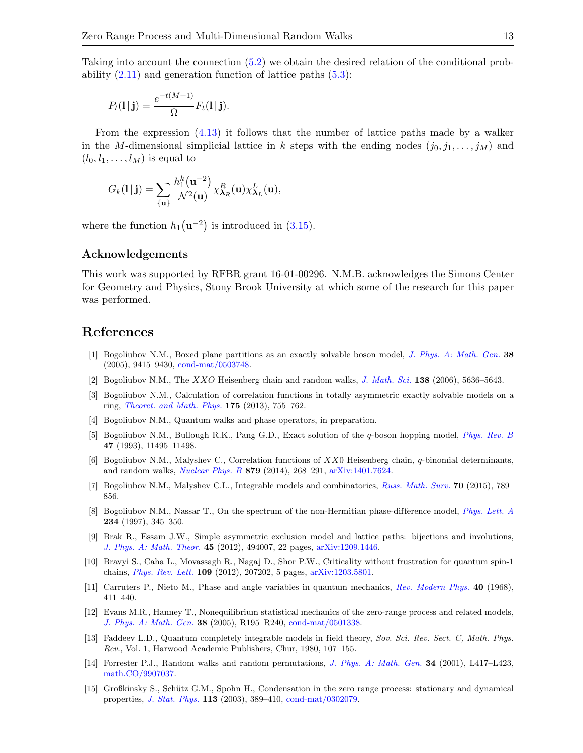Taking into account the connection [\(5.2\)](#page-11-2) we obtain the desired relation of the conditional probability  $(2.11)$  and generation function of lattice paths  $(5.3)$ :

$$
P_t(\mathbf{l} \,|\, \mathbf{j}) = \frac{e^{-t(M+1)}}{\Omega} F_t(\mathbf{l} \,|\, \mathbf{j}).
$$

From the expression  $(4.13)$  it follows that the number of lattice paths made by a walker in the M-dimensional simplicial lattice in k steps with the ending nodes  $(j_0, j_1, \ldots, j_M)$  and  $(l_0, l_1, \ldots, l_M)$  is equal to

$$
G_k(\mathbf{l}\,|\,\mathbf{j})=\sum_{\{\mathbf{u}\}}\frac{h_1^k(\mathbf{u}^{-2})}{\mathcal{N}^2(\mathbf{u})}\chi^R_{\boldsymbol{\lambda}_R}(\mathbf{u})\chi^L_{\boldsymbol{\lambda}_L}(\mathbf{u}),
$$

where the function  $h_1(\mathbf{u}^{-2})$  is introduced in [\(3.15\)](#page-6-4).

#### Acknowledgements

This work was supported by RFBR grant 16-01-00296. N.M.B. acknowledges the Simons Center for Geometry and Physics, Stony Brook University at which some of the research for this paper was performed.

# References

- <span id="page-12-14"></span>[1] Bogoliubov N.M., Boxed plane partitions as an exactly solvable boson model, [J. Phys. A: Math. Gen.](https://doi.org/10.1088/0305-4470/38/43/002) 38 (2005), 9415–9430, [cond-mat/0503748.](https://arxiv.org/abs/cond-mat/0503748)
- <span id="page-12-8"></span>[2] Bogoliubov N.M., The XXO Heisenberg chain and random walks, [J. Math. Sci.](https://doi.org/10.1007/s10958-006-0332-2) 138 (2006), 5636–5643.
- <span id="page-12-6"></span>[3] Bogoliubov N.M., Calculation of correlation functions in totally asymmetric exactly solvable models on a ring, [Theoret. and Math. Phys.](https://doi.org/10.1007/s11232-013-0061-x) 175 (2013), 755–762.
- <span id="page-12-13"></span>[4] Bogoliubov N.M., Quantum walks and phase operators, in preparation.
- <span id="page-12-5"></span>[5] Bogoliubov N.M., Bullough R.K., Pang G.D., Exact solution of the q-boson hopping model, [Phys. Rev. B](https://doi.org/10.1103/PhysRevB.47.11495) 47 (1993), 11495–11498.
- <span id="page-12-9"></span>[6] Bogoliubov N.M., Malyshev C., Correlation functions of  $XX0$  Heisenberg chain, q-binomial determinants, and random walks, [Nuclear Phys. B](https://doi.org/10.1016/j.nuclphysb.2013.12.010) 879 (2014), 268–291, [arXiv:1401.7624.](https://arxiv.org/abs/1401.7624)
- <span id="page-12-10"></span>[7] Bogoliubov N.M., Malyshev C.L., Integrable models and combinatorics, [Russ. Math. Surv.](https://doi.org/10.1070/RM2015v070n05ABEH004964) 70 (2015), 789– 856.
- <span id="page-12-7"></span>[8] Bogoliubov N.M., Nassar T., On the spectrum of the non-Hermitian phase-difference model, [Phys. Lett. A](https://doi.org/10.1016/S0375-9601(97)00561-6) 234 (1997), 345–350.
- <span id="page-12-1"></span>[9] Brak R., Essam J.W., Simple asymmetric exclusion model and lattice paths: bijections and involutions, [J. Phys. A: Math. Theor.](https://doi.org/10.1088/1751-8113/45/49/494007) 45 (2012), 494007, 22 pages, [arXiv:1209.1446.](https://arxiv.org/abs/1209.1446)
- <span id="page-12-12"></span>[10] Bravyi S., Caha L., Movassagh R., Nagaj D., Shor P.W., Criticality without frustration for quantum spin-1 chains, [Phys. Rev. Lett.](https://doi.org/10.1103/PhysRevLett.109.207202) 109 (2012), 207202, 5 pages, [arXiv:1203.5801.](https://arxiv.org/abs/1203.5801)
- <span id="page-12-4"></span>[11] Carruters P., Nieto M., Phase and angle variables in quantum mechanics, [Rev. Modern Phys.](https://doi.org/10.1103/RevModPhys.40.411) 40 (1968), 411–440.
- <span id="page-12-0"></span>[12] Evans M.R., Hanney T., Nonequilibrium statistical mechanics of the zero-range process and related models, [J. Phys. A: Math. Gen.](https://doi.org/10.1088/0305-4470/38/19/R01) 38 (2005), R195–R240, [cond-mat/0501338.](https://arxiv.org/abs/cond-mat/0501338)
- <span id="page-12-3"></span>[13] Faddeev L.D., Quantum completely integrable models in field theory, Sov. Sci. Rev. Sect. C, Math. Phys. Rev., Vol. 1, Harwood Academic Publishers, Chur, 1980, 107–155.
- <span id="page-12-11"></span>[14] Forrester P.J., Random walks and random permutations, *[J. Phys. A: Math. Gen.](https://doi.org/10.1088/0305-4470/34/31/101)* **34** (2001), L417–L423, [math.CO/9907037.](https://arxiv.org/abs/math.CO/9907037)
- <span id="page-12-2"></span>[15] Großkinsky S., Schütz G.M., Spohn H., Condensation in the zero range process: stationary and dynamical properties, [J. Stat. Phys.](https://doi.org/10.1023/A:1026008532442) 113 (2003), 389–410, [cond-mat/0302079.](https://arxiv.org/abs/cond-mat/0302079)